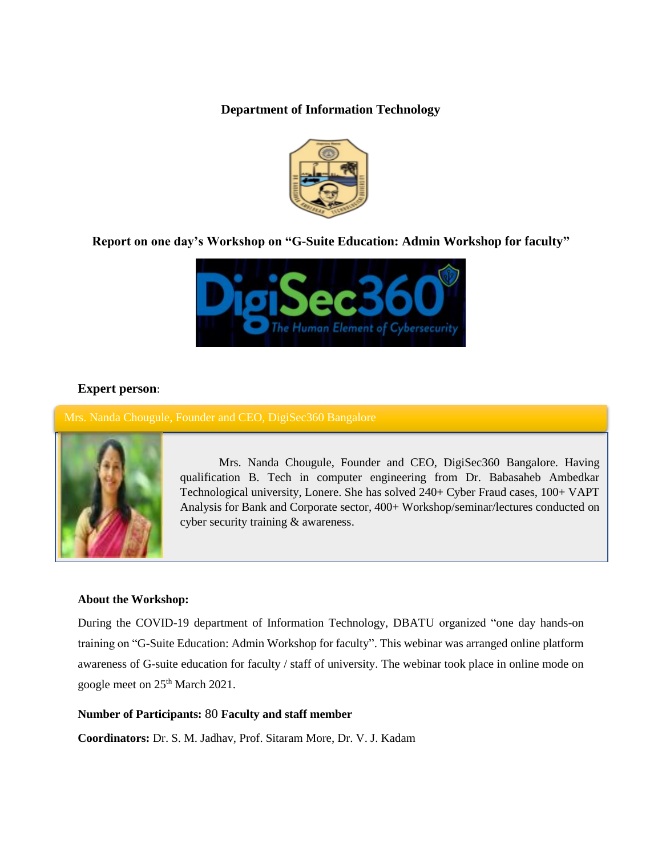**Department of Information Technology**



# **Report on one day's Workshop on "G-Suite Education: Admin Workshop for faculty"**



## **Expert person**:

Mrs. Nanda Chougule, Founder and CEO, DigiSec360 Bangalore



Mrs. Nanda Chougule, Founder and CEO, DigiSec360 Bangalore. Having qualification B. Tech in computer engineering from Dr. Babasaheb Ambedkar Technological university, Lonere. She has solved 240+ Cyber Fraud cases, 100+ VAPT Analysis for Bank and Corporate sector, 400+ Workshop/seminar/lectures conducted on cyber security training & awareness.

## **About the Workshop:**

During the COVID-19 department of Information Technology, DBATU organized "one day hands-on training on "G-Suite Education: Admin Workshop for faculty". This webinar was arranged online platform awareness of G-suite education for faculty / staff of university. The webinar took place in online mode on google meet on 25<sup>th</sup> March 2021.

### **Number of Participants:** 80 **Faculty and staff member**

**Coordinators:** Dr. S. M. Jadhav, Prof. Sitaram More, Dr. V. J. Kadam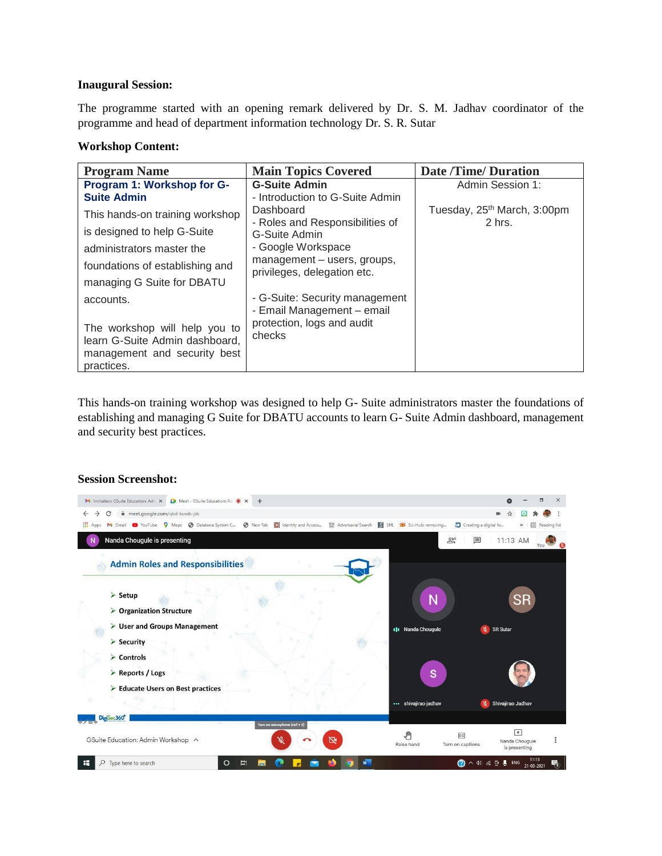#### **Inaugural Session:**

The programme started with an opening remark delivered by Dr. S. M. Jadhav coordinator of the programme and head of department information technology Dr. S. R. Sutar

### **Workshop Content:**

| <b>Program Name</b>                                                                             | <b>Main Topics Covered</b>                                   | <b>Date /Time/ Duration</b>             |
|-------------------------------------------------------------------------------------------------|--------------------------------------------------------------|-----------------------------------------|
| Program 1: Workshop for G-                                                                      | <b>G-Suite Admin</b>                                         | Admin Session 1:                        |
| <b>Suite Admin</b>                                                                              | - Introduction to G-Suite Admin                              |                                         |
| This hands-on training workshop                                                                 | Dashboard                                                    | Tuesday, 25 <sup>th</sup> March, 3:00pm |
| is designed to help G-Suite                                                                     | - Roles and Responsibilities of<br>G-Suite Admin             | 2 hrs.                                  |
| administrators master the                                                                       | - Google Workspace                                           |                                         |
| foundations of establishing and                                                                 | management - users, groups,<br>privileges, delegation etc.   |                                         |
| managing G Suite for DBATU                                                                      |                                                              |                                         |
| accounts.                                                                                       | - G-Suite: Security management<br>- Email Management - email |                                         |
| The workshop will help you to<br>learn G-Suite Admin dashboard,<br>management and security best | protection, logs and audit<br>checks                         |                                         |
| practices.                                                                                      |                                                              |                                         |

This hands-on training workshop was designed to help G- Suite administrators master the foundations of establishing and managing G Suite for DBATU accounts to learn G- Suite Admin dashboard, management and security best practices.

#### **Session Screenshot:**